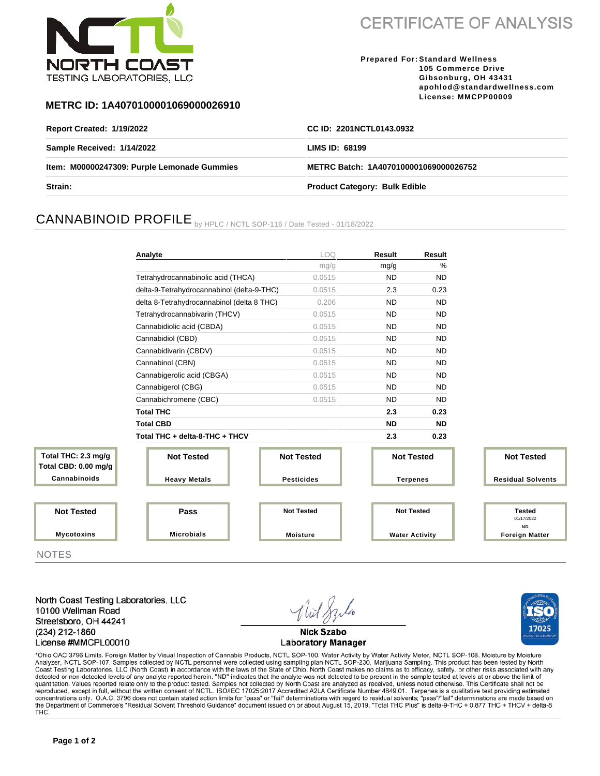

**CERTIFICATE OF ANALYSIS** 

**Prepared For: Standard Wellness 105 Commerce Drive Gibsonburg, OH 43431 apohlod@standardwellness.com License: MMCPP00009**

17025

### **METRC ID: 1A4070100001069000026910**

| <b>Report Created: 1/19/2022</b>            | CC ID: 2201NCTL0143.0932              |  |
|---------------------------------------------|---------------------------------------|--|
| Sample Received: 1/14/2022                  | LIMS ID: 68199                        |  |
| Item: M00000247309: Purple Lemonade Gummies | METRC Batch: 1A4070100001069000026752 |  |
| <b>Strain:</b>                              | <b>Product Category: Bulk Edible</b>  |  |

# CANNABINOID PROFILE by HPLC / NCTL SOP-116 / Date Tested - 01/18/2022

|                                    | Analyte                                    | LOQ               | <b>Result</b>         | <b>Result</b>     |                                          |  |
|------------------------------------|--------------------------------------------|-------------------|-----------------------|-------------------|------------------------------------------|--|
|                                    |                                            | mg/g              | mg/g                  | $\frac{0}{0}$     |                                          |  |
|                                    | Tetrahydrocannabinolic acid (THCA)         | 0.0515            | <b>ND</b>             | <b>ND</b>         |                                          |  |
|                                    | delta-9-Tetrahydrocannabinol (delta-9-THC) | 0.0515            | 2.3                   | 0.23              |                                          |  |
|                                    | delta 8-Tetrahydrocannabinol (delta 8 THC) | 0.206             | <b>ND</b>             | <b>ND</b>         |                                          |  |
|                                    | Tetrahydrocannabivarin (THCV)              | 0.0515            | <b>ND</b>             | <b>ND</b>         |                                          |  |
|                                    | Cannabidiolic acid (CBDA)                  | 0.0515            | <b>ND</b>             | <b>ND</b>         |                                          |  |
|                                    | Cannabidiol (CBD)                          | 0.0515            | <b>ND</b>             | <b>ND</b>         |                                          |  |
|                                    | Cannabidivarin (CBDV)                      | 0.0515            | <b>ND</b>             | <b>ND</b>         |                                          |  |
|                                    | Cannabinol (CBN)                           | 0.0515            | <b>ND</b>             | <b>ND</b>         |                                          |  |
|                                    | Cannabigerolic acid (CBGA)                 | 0.0515            | <b>ND</b>             | <b>ND</b>         |                                          |  |
|                                    | Cannabigerol (CBG)                         | 0.0515            | <b>ND</b>             | <b>ND</b>         |                                          |  |
|                                    | Cannabichromene (CBC)                      | 0.0515            | <b>ND</b>             | <b>ND</b>         |                                          |  |
|                                    | <b>Total THC</b>                           |                   | 2.3                   | 0.23              |                                          |  |
|                                    | <b>Total CBD</b>                           |                   | <b>ND</b>             | <b>ND</b>         |                                          |  |
|                                    | Total THC + delta-8-THC + THCV             |                   | 2.3                   | 0.23              |                                          |  |
| al THC: 2.3 mg/g<br>CBD: 0.00 mg/g | <b>Not Tested</b>                          | <b>Not Tested</b> |                       | <b>Not Tested</b> | <b>Not Tested</b>                        |  |
| annabinoids:                       | <b>Heavy Metals</b>                        | <b>Pesticides</b> | <b>Terpenes</b>       |                   | <b>Residual Solvents</b>                 |  |
|                                    |                                            |                   |                       |                   |                                          |  |
| <b>Not Tested</b>                  | Pass                                       | <b>Not Tested</b> | <b>Not Tested</b>     |                   | <b>Tested</b><br>01/17/2022<br><b>ND</b> |  |
| <b>Mycotoxins</b>                  | <b>Microbials</b>                          | <b>Moisture</b>   | <b>Water Activity</b> |                   | <b>Foreign Matter</b>                    |  |

NOTES

**Total Total Cannabinoids**

North Coast Testing Laboratories, LLC 10100 Wellman Road Streetsboro, OH 44241 (234) 212-1860 License #MMCPL00010

**Nick Szabo Laboratory Manager** 

\*Ohio OAC 3796 Limits. Foreign Matter by Visual Inspection of Cannabis Products, NCTL SOP-100. Water Activity by Water Activity Meter, NCTL SOP-108. Moisture by Moisture Analyzer, NCTL SOP-107. Samples collected by NCTL personnel were collected using sampling plan NCTL SOP-230, Marijuana Sampling. This product has been tested by North Coast Testing Laboratories, LLC (North Coast) in accordance with the laws of the State of Ohio. North Coast makes no claims as to efficacy, safety, or other risks associated with any detected or non-detected levels of any quantitation. Values reported relate only to the product tested. Samples not collected by North Coast are analyzed as received, unless noted otherwise. This Certificate shall not be reproduced, except in full, without the written consent of NCTL. ISO/IEC 17025:2017 Accredited A2LA Certificate Number 4849.01. Terpenes is a qualitative test providing estimated concentrations only. O.A.C. 3796 does not contain stated action limits for "pass" or "fail" determinations with regard to residual solvents; "pass"/"fail" determinations are made based on the Department of Commerce's "Resi THC.